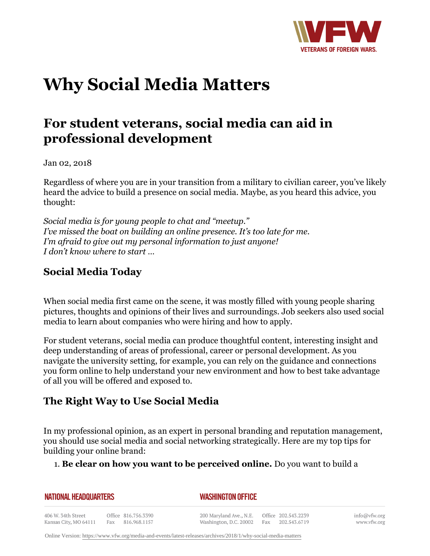

# **Why Social Media Matters**

## **For student veterans, social media can aid in professional development**

Jan 02, 2018

Regardless of where you are in your transition from a military to civilian career, you've likely heard the advice to build a presence on social media. Maybe, as you heard this advice, you thought:

*Social media is for young people to chat and "meetup." I've missed the boat on building an online presence. It's too late for me. I'm afraid to give out my personal information to just anyone! I don't know where to start …*

#### **Social Media Today**

When social media first came on the scene, it was mostly filled with young people sharing pictures, thoughts and opinions of their lives and surroundings. Job seekers also used social media to learn about companies who were hiring and how to apply.

For student veterans, social media can produce thoughtful content, interesting insight and deep understanding of areas of professional, career or personal development. As you navigate the university setting, for example, you can rely on the guidance and connections you form online to help understand your new environment and how to best take advantage of all you will be offered and exposed to.

### **The Right Way to Use Social Media**

In my professional opinion, as an expert in personal branding and reputation management, you should use social media and social networking strategically. Here are my top tips for building your online brand:

#### 1. **Be clear on how you want to be perceived online.** Do you want to build a

| NATIONAL HEADQUARTERS |                     | <b>WASHINGTON OFFICE</b> |                    |
|-----------------------|---------------------|--------------------------|--------------------|
| 406 W. 34th Street    | Office 816.756.3390 | 200 Maryland Ave., N.E.  | Office 202.543.223 |

Kansas City, MO 64111 Fax 816.968.1157 Washington, D.C. 20002 Fax

202.543.6719

info@vfw.org www.vfw.org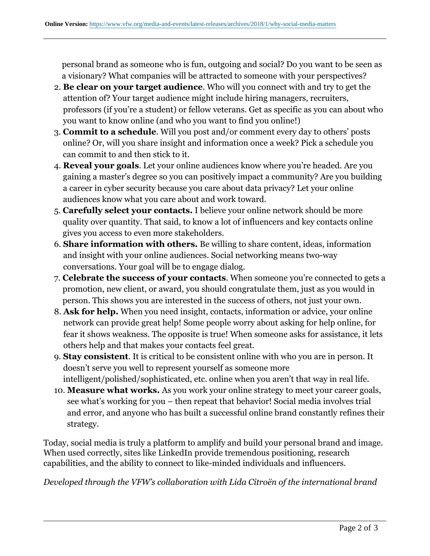personal brand as someone who is fun, outgoing and social? Do you want to be seen as a visionary? What companies will be attracted to someone with your perspectives?

- **Be clear on your target audience**. Who will you connect with and try to get the 2. attention of? Your target audience might include hiring managers, recruiters, professors (if you're a student) or fellow veterans. Get as specific as you can about who you want to know online (and who you want to find you online!)
- **Commit to a schedule**. Will you post and/or comment every day to others' posts 3. online? Or, will you share insight and information once a week? Pick a schedule you can commit to and then stick to it.
- **Reveal your goals**. Let your online audiences know where you're headed. Are you 4. gaining a master's degree so you can positively impact a community? Are you building a career in cyber security because you care about data privacy? Let your online audiences know what you care about and work toward.
- **Carefully select your contacts.** I believe your online network should be more 5. quality over quantity. That said, to know a lot of influencers and key contacts online gives you access to even more stakeholders.
- **Share information with others.** Be willing to share content, ideas, information 6. and insight with your online audiences. Social networking means two-way conversations. Your goal will be to engage dialog.
- **Celebrate the success of your contacts**. When someone you're connected to gets a 7. promotion, new client, or award, you should congratulate them, just as you would in person. This shows you are interested in the success of others, not just your own.
- **Ask for help.** When you need insight, contacts, information or advice, your online 8. network can provide great help! Some people worry about asking for help online, for fear it shows weakness. The opposite is true! When someone asks for assistance, it lets others help and that makes your contacts feel great.
- **Stay consistent**. It is critical to be consistent online with who you are in person. It 9. doesn't serve you well to represent yourself as someone more intelligent/polished/sophisticated, etc. online when you aren't that way in real life.
- **Measure what works.** As you work your online strategy to meet your career goals, 10. see what's working for you – then repeat that behavior! Social media involves trial and error, and anyone who has built a successful online brand constantly refines their strategy.

Today, social media is truly a platform to amplify and build your personal brand and image. When used correctly, sites like LinkedIn provide tremendous positioning, research capabilities, and the ability to connect to like-minded individuals and influencers.

*Developed through the VFW's collaboration with Lida Citroën of the international brand*